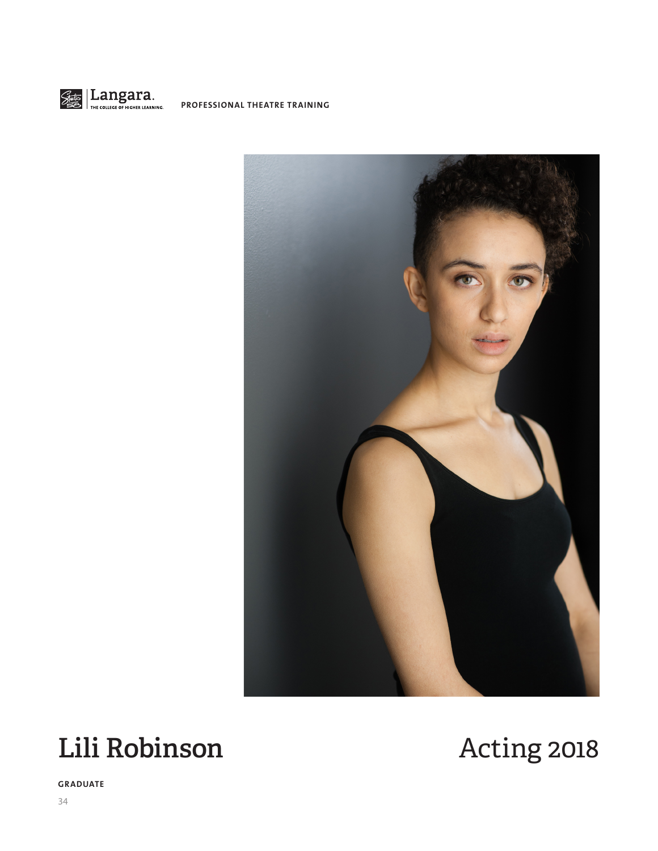



# **Lili Robinson** Acting 2018

**GRADUATE**